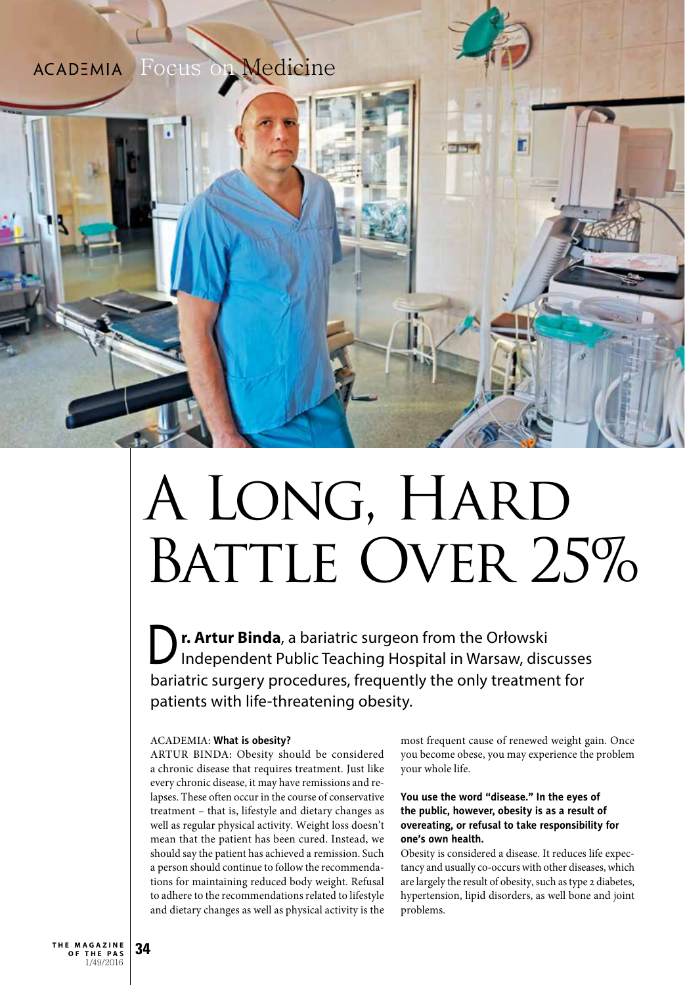

# A Long, Hard BATTLE OVER 25%

**D** r. Artur Binda, a bariatric surgeon from the Orłowski<br>Independent Public Teaching Hospital in Warsaw, discusses bariatric surgery procedures, frequently the only treatment for patients with life-threatening obesity.

# ACADEMIA: **What is obesity?**

ARTUR BINDA: Obesity should be considered a chronic disease that requires treatment. Just like every chronic disease, it may have remissions and relapses. These often occur in the course of conservative treatment – that is, lifestyle and dietary changes as well as regular physical activity. Weight loss doesn't mean that the patient has been cured. Instead, we should say the patient has achieved a remission. Such a person should continue to follow the recommendations for maintaining reduced body weight. Refusal to adhere to the recommendations related to lifestyle and dietary changes as well as physical activity is the

most frequent cause of renewed weight gain. Once you become obese, you may experience the problem your whole life.

# **You use the word "disease." In the eyes of the public, however, obesity is as a result of overeating, or refusal to take responsibility for one's own health.**

Obesity is considered a disease. It reduces life expectancy and usually co-occurs with other diseases, which are largely the result of obesity, such as type 2 diabetes, hypertension, lipid disorders, as well bone and joint problems.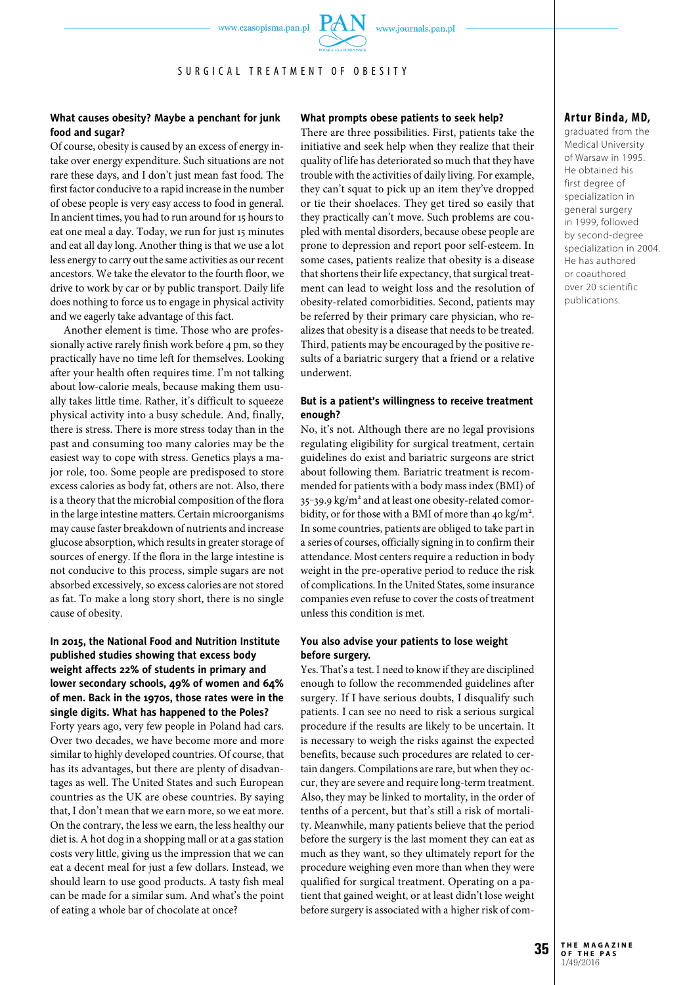www.czasopisma.pan.pl

SURGICAL TREATMENT OF OBESITY

## **What causes obesity? Maybe a penchant for junk food and sugar?**

Of course, obesity is caused by an excess of energy intake over energy expenditure. Such situations are not rare these days, and I don't just mean fast food. The first factor conducive to a rapid increase in the number of obese people is very easy access to food in general. In ancient times, you had to run around for 15 hours to eat one meal a day. Today, we run for just 15 minutes and eat all day long. Another thing is that we use a lot less energy to carry out the same activities as our recent ancestors. We take the elevator to the fourth floor, we drive to work by car or by public transport. Daily life does nothing to force us to engage in physical activity and we eagerly take advantage of this fact.

Another element is time. Those who are professionally active rarely finish work before 4 pm, so they practically have no time left for themselves. Looking after your health often requires time. I'm not talking about low-calorie meals, because making them usually takes little time. Rather, it's difficult to squeeze physical activity into a busy schedule. And, finally, there is stress. There is more stress today than in the past and consuming too many calories may be the easiest way to cope with stress. Genetics plays a major role, too. Some people are predisposed to store excess calories as body fat, others are not. Also, there is a theory that the microbial composition of the flora in the large intestine matters. Certain microorganisms may cause faster breakdown of nutrients and increase glucose absorption, which results in greater storage of sources of energy. If the flora in the large intestine is not conducive to this process, simple sugars are not absorbed excessively, so excess calories are not stored as fat. To make a long story short, there is no single cause of obesity.

# **In 2015, the National Food and Nutrition Institute published studies showing that excess body weight affects 22% of students in primary and lower secondary schools, 49% of women and 64% of men. Back in the 1970s, those rates were in the single digits. What has happened to the Poles?**

Forty years ago, very few people in Poland had cars. Over two decades, we have become more and more similar to highly developed countries. Of course, that has its advantages, but there are plenty of disadvantages as well. The United States and such European countries as the UK are obese countries. By saying that, I don't mean that we earn more, so we eat more. On the contrary, the less we earn, the less healthy our diet is. A hot dog in a shopping mall or at a gas station costs very little, giving us the impression that we can eat a decent meal for just a few dollars. Instead, we should learn to use good products. A tasty fish meal can be made for a similar sum. And what's the point of eating a whole bar of chocolate at once?

#### **What prompts obese patients to seek help?**

There are three possibilities. First, patients take the initiative and seek help when they realize that their quality of life has deteriorated so much that they have trouble with the activities of daily living. For example, they can't squat to pick up an item they've dropped or tie their shoelaces. They get tired so easily that they practically can't move. Such problems are coupled with mental disorders, because obese people are prone to depression and report poor self-esteem. In some cases, patients realize that obesity is a disease that shortens their life expectancy, that surgical treatment can lead to weight loss and the resolution of obesity-related comorbidities. Second, patients may be referred by their primary care physician, who realizes that obesity is a disease that needs to be treated. Third, patients may be encouraged by the positive results of a bariatric surgery that a friend or a relative underwent.

## **But is a patient's willingness to receive treatment enough?**

No, it's not. Although there are no legal provisions regulating eligibility for surgical treatment, certain guidelines do exist and bariatric surgeons are strict about following them. Bariatric treatment is recommended for patients with a body mass index (BMI) of 35-39.9 kg/m<sup>2</sup> and at least one obesity-related comorbidity, or for those with a BMI of more than 40 kg/m<sup>2</sup>. In some countries, patients are obliged to take part in a series of courses, officially signing in to confirm their attendance. Most centers require a reduction in body weight in the pre-operative period to reduce the risk of complications. In the United States, some insurance companies even refuse to cover the costs of treatment unless this condition is met.

## **You also advise your patients to lose weight before surgery.**

Yes. That's a test. I need to know if they are disciplined enough to follow the recommended guidelines after surgery. If I have serious doubts, I disqualify such patients. I can see no need to risk a serious surgical procedure if the results are likely to be uncertain. It is necessary to weigh the risks against the expected benefits, because such procedures are related to certain dangers. Compilations are rare, but when they occur, they are severe and require long-term treatment. Also, they may be linked to mortality, in the order of tenths of a percent, but that's still a risk of mortality. Meanwhile, many patients believe that the period before the surgery is the last moment they can eat as much as they want, so they ultimately report for the procedure weighing even more than when they were qualified for surgical treatment. Operating on a patient that gained weight, or at least didn't lose weight before surgery is associated with a higher risk of com-

## **Artur Binda, MD,**

graduated from the Medical University of Warsaw in 1995. He obtained his first degree of specialization in general surgery in 1999, followed by second-degree specialization in 2004. He has authored or coauthored over 20 scientific publications.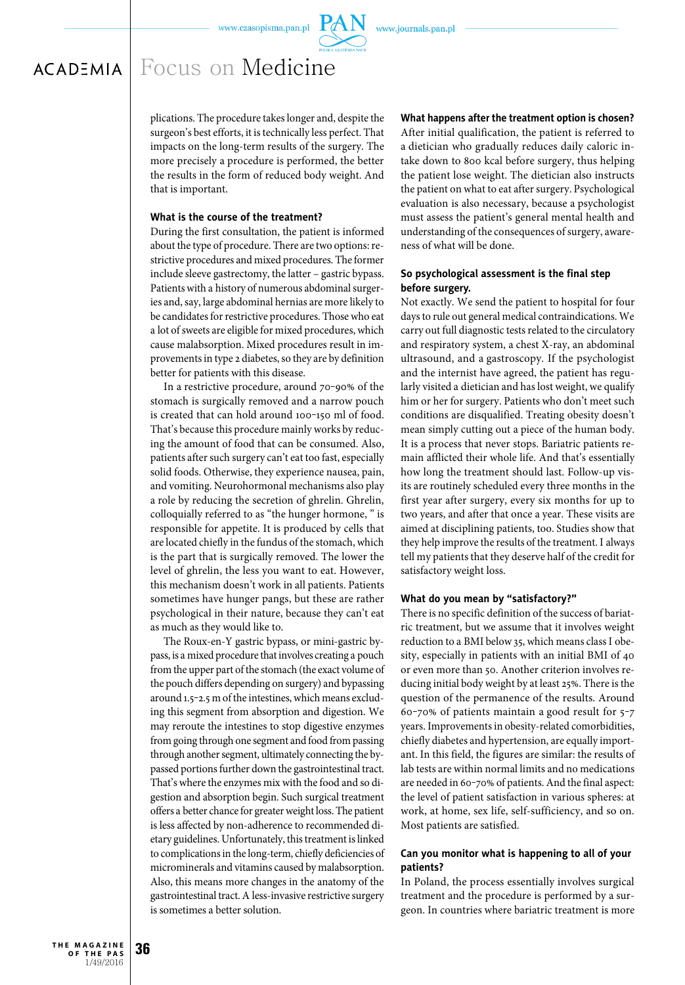

## Focus on Medicine $ACAD<sup>2</sup>MIA$

plications. The procedure takes longer and, despite the surgeon's best efforts, it is technically less perfect. That impacts on the long-term results of the surgery. The more precisely a procedure is performed, the better the results in the form of reduced body weight. And that is important.

#### **What is the course of the treatment?**

During the first consultation, the patient is informed about the type of procedure. There are two options: restrictive procedures and mixed procedures. The former include sleeve gastrectomy, the latter – gastric bypass. Patients with a history of numerous abdominal surgeries and, say, large abdominal hernias are more likely to be candidates for restrictive procedures. Those who eat a lot of sweets are eligible for mixed procedures, which cause malabsorption. Mixed procedures result in improvements in type 2 diabetes, so they are by definition better for patients with this disease.

In a restrictive procedure, around 70-90% of the stomach is surgically removed and a narrow pouch is created that can hold around 100-150 ml of food. That's because this procedure mainly works by reducing the amount of food that can be consumed. Also, patients after such surgery can't eat too fast, especially solid foods. Otherwise, they experience nausea, pain, and vomiting. Neurohormonal mechanisms also play a role by reducing the secretion of ghrelin. Ghrelin, colloquially referred to as "the hunger hormone, " is responsible for appetite. It is produced by cells that are located chiefly in the fundus of the stomach, which is the part that is surgically removed. The lower the level of ghrelin, the less you want to eat. However, this mechanism doesn't work in all patients. Patients sometimes have hunger pangs, but these are rather psychological in their nature, because they can't eat as much as they would like to.

The Roux-en-Y gastric bypass, or mini-gastric bypass, is a mixed procedure that involves creating a pouch from the upper part of the stomach (the exact volume of the pouch differs depending on surgery) and bypassing around 1.5-2.5 m of the intestines, which means excluding this segment from absorption and digestion. We may reroute the intestines to stop digestive enzymes from going through one segment and food from passing through another segment, ultimately connecting the bypassed portions further down the gastrointestinal tract. That's where the enzymes mix with the food and so digestion and absorption begin. Such surgical treatment offers a better chance for greater weight loss. The patient is less affected by non-adherence to recommended dietary guidelines. Unfortunately, this treatment is linked to complications in the long-term, chiefly deficiencies of microminerals and vitamins caused by malabsorption. Also, this means more changes in the anatomy of the gastrointestinal tract. A less-invasive restrictive surgery is sometimes a better solution.

**What happens after the treatment option is chosen?** After initial qualification, the patient is referred to a dietician who gradually reduces daily caloric intake down to 800 kcal before surgery, thus helping the patient lose weight. The dietician also instructs the patient on what to eat after surgery. Psychological evaluation is also necessary, because a psychologist must assess the patient's general mental health and understanding of the consequences of surgery, awareness of what will be done.

## **So psychological assessment is the final step before surgery.**

Not exactly. We send the patient to hospital for four days to rule out general medical contraindications. We carry out full diagnostic tests related to the circulatory and respiratory system, a chest X-ray, an abdominal ultrasound, and a gastroscopy. If the psychologist and the internist have agreed, the patient has regularly visited a dietician and has lost weight, we qualify him or her for surgery. Patients who don't meet such conditions are disqualified. Treating obesity doesn't mean simply cutting out a piece of the human body. It is a process that never stops. Bariatric patients remain afflicted their whole life. And that's essentially how long the treatment should last. Follow-up visits are routinely scheduled every three months in the first year after surgery, every six months for up to two years, and after that once a year. These visits are aimed at disciplining patients, too. Studies show that they help improve the results of the treatment. I always tell my patients that they deserve half of the credit for satisfactory weight loss.

## **What do you mean by "satisfactory?"**

There is no specific definition of the success of bariatric treatment, but we assume that it involves weight reduction to a BMI below 35, which means class I obesity, especially in patients with an initial BMI of 40 or even more than 50. Another criterion involves reducing initial body weight by at least 25%. There is the question of the permanence of the results. Around 60‒70% of patients maintain a good result for 5‒7 years. Improvements in obesity-related comorbidities, chiefly diabetes and hypertension, are equally important. In this field, the figures are similar: the results of lab tests are within normal limits and no medications are needed in 60-70% of patients. And the final aspect: the level of patient satisfaction in various spheres: at work, at home, sex life, self-sufficiency, and so on. Most patients are satisfied.

## **Can you monitor what is happening to all of your patients?**

In Poland, the process essentially involves surgical treatment and the procedure is performed by a surgeon. In countries where bariatric treatment is more

**36 t h e m a g a z i n e o f t h e p a s** 1/49/2016